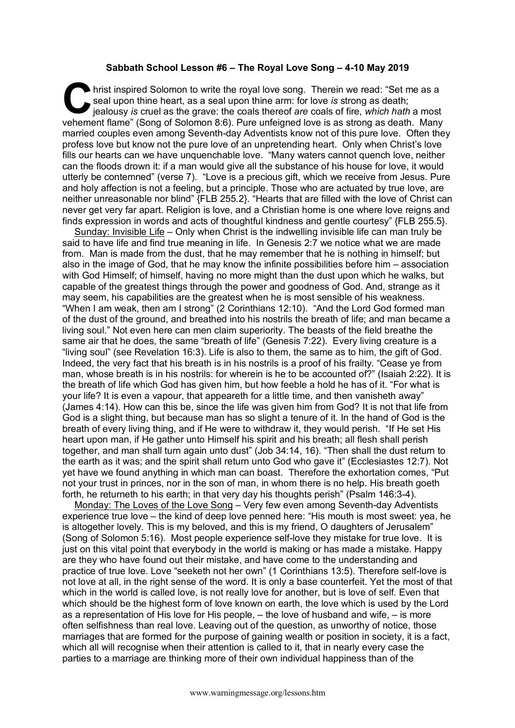## **Sabbath School Lesson #6 – The Royal Love Song – 4-10 May 2019**

hrist inspired Solomon to write the royal love song. Therein we read: "Set me as a seal upon thine heart, as a seal upon thine arm: for love *is* strong as death;<br>jealousy *is* cruel as the grave: the coals thereof *are* c seal upon thine heart, as a seal upon thine arm: for love *is* strong as death; jealousy *is* cruel as the grave: the coals thereof *are* coals of fire, *which hath* a most vehement flame" (Song of Solomon 8:6). Pure unfeigned love is as strong as death. Many married couples even among Seventh-day Adventists know not of this pure love. Often they profess love but know not the pure love of an unpretending heart. Only when Christ's love fills our hearts can we have unquenchable love. "Many waters cannot quench love, neither can the floods drown it: if a man would give all the substance of his house for love, it would utterly be contemned" (verse 7). "Love is a precious gift, which we receive from Jesus. Pure and holy affection is not a feeling, but a principle. Those who are actuated by true love, are neither unreasonable nor blind" {FLB 255.2}. "Hearts that are filled with the love of Christ can never get very far apart. Religion is love, and a Christian home is one where love reigns and finds expression in words and acts of thoughtful kindness and gentle courtesy" {FLB 255.5}.

Sunday: Invisible Life – Only when Christ is the indwelling invisible life can man truly be said to have life and find true meaning in life. In Genesis 2:7 we notice what we are made from. Man is made from the dust, that he may remember that he is nothing in himself; but also in the image of God, that he may know the infinite possibilities before him – association with God Himself; of himself, having no more might than the dust upon which he walks, but capable of the greatest things through the power and goodness of God. And, strange as it may seem, his capabilities are the greatest when he is most sensible of his weakness. "When I am weak, then am I strong" (2 Corinthians 12:10). "And the Lord God formed man of the dust of the ground, and breathed into his nostrils the breath of life; and man became a living soul." Not even here can men claim superiority. The beasts of the field breathe the same air that he does, the same "breath of life" (Genesis 7:22). Every living creature is a "living soul" (see Revelation 16:3). Life is also to them, the same as to him, the gift of God. Indeed, the very fact that his breath is in his nostrils is a proof of his frailty. "Cease ye from man, whose breath is in his nostrils: for wherein is he to be accounted of?" (Isaiah 2:22). It is the breath of life which God has given him, but how feeble a hold he has of it. "For what is your life? It is even a vapour, that appeareth for a little time, and then vanisheth away" (James 4:14). How can this be, since the life was given him from God? It is not that life from God is a slight thing, but because man has so slight a tenure of it. In the hand of God is the breath of every living thing, and if He were to withdraw it, they would perish. "If He set His heart upon man, if He gather unto Himself his spirit and his breath; all flesh shall perish together, and man shall turn again unto dust" (Job 34:14, 16). "Then shall the dust return to the earth as it was; and the spirit shall return unto God who gave it" (Ecclesiastes 12:7). Not yet have we found anything in which man can boast. Therefore the exhortation comes, "Put not your trust in princes, nor in the son of man, in whom there is no help. His breath goeth forth, he returneth to his earth; in that very day his thoughts perish" (Psalm 146:3-4).

Monday: The Loves of the Love Song – Very few even among Seventh-day Adventists experience true love – the kind of deep love penned here: "His mouth is most sweet: yea, he is altogether lovely. This is my beloved, and this is my friend, O daughters of Jerusalem" (Song of Solomon 5:16). Most people experience self-love they mistake for true love. It is just on this vital point that everybody in the world is making or has made a mistake. Happy are they who have found out their mistake, and have come to the understanding and practice of true love. Love "seeketh not her own" (1 Corinthians 13:5). Therefore self-love is not love at all, in the right sense of the word. It is only a base counterfeit. Yet the most of that which in the world is called love, is not really love for another, but is love of self. Even that which should be the highest form of love known on earth, the love which is used by the Lord as a representation of His love for His people, – the love of husband and wife, – is more often selfishness than real love. Leaving out of the question, as unworthy of notice, those marriages that are formed for the purpose of gaining wealth or position in society, it is a fact, which all will recognise when their attention is called to it, that in nearly every case the parties to a marriage are thinking more of their own individual happiness than of the